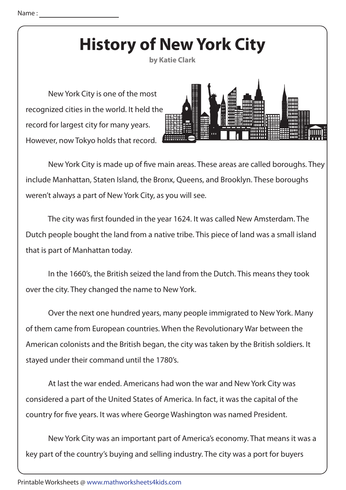## **History of New York City**

**by Katie Clark**

 New York City is one of the most recognized cities in the world. It held the record for largest city for many years. However, now Tokyo holds that record.



New York City is made up of five main areas. These areas are called boroughs. They include Manhattan, Staten Island, the Bronx, Queens, and Brooklyn. These boroughs weren't always a part of New York City, as you will see.

The city was first founded in the year 1624. It was called New Amsterdam. The Dutch people bought the land from a native tribe. This piece of land was a small island that is part of Manhattan today.

 In the 1660's, the British seized the land from the Dutch. This means they took over the city. They changed the name to New York.

 Over the next one hundred years, many people immigrated to New York. Many of them came from European countries. When the Revolutionary War between the American colonists and the British began, the city was taken by the British soldiers. It stayed under their command until the 1780's.

 At last the war ended. Americans had won the war and New York City was considered a part of the United States of America. In fact, it was the capital of the country for five years. It was where George Washington was named President.

 New York City was an important part of America's economy. That means it was a key part of the country's buying and selling industry. The city was a port for buyers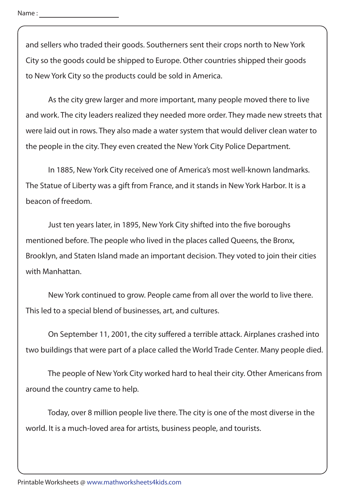and sellers who traded their goods. Southerners sent their crops north to New York City so the goods could be shipped to Europe. Other countries shipped their goods to New York City so the products could be sold in America.

 As the city grew larger and more important, many people moved there to live and work. The city leaders realized they needed more order. They made new streets that were laid out in rows. They also made a water system that would deliver clean water to the people in the city. They even created the New York City Police Department.

 In 1885, New York City received one of America's most well-known landmarks. The Statue of Liberty was a gift from France, and it stands in New York Harbor. It is a beacon of freedom.

Just ten years later, in 1895, New York City shifted into the five boroughs mentioned before. The people who lived in the places called Queens, the Bronx, Brooklyn, and Staten Island made an important decision. They voted to join their cities with Manhattan.

 New York continued to grow. People came from all over the world to live there. This led to a special blend of businesses, art, and cultures.

On September 11, 2001, the city suffered a terrible attack. Airplanes crashed into two buildings that were part of a place called the World Trade Center. Many people died.

 The people of New York City worked hard to heal their city. Other Americans from around the country came to help.

 Today, over 8 million people live there. The city is one of the most diverse in the world. It is a much-loved area for artists, business people, and tourists.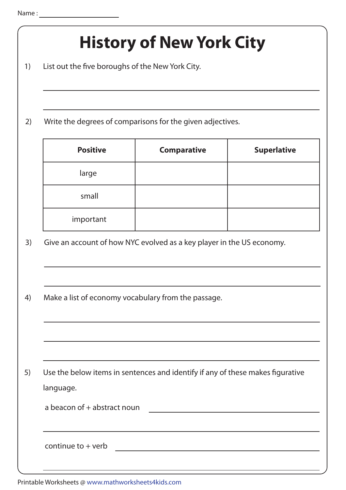|                                                                                | <b>History of New York City</b>                                                                                                            |  |  |
|--------------------------------------------------------------------------------|--------------------------------------------------------------------------------------------------------------------------------------------|--|--|
|                                                                                |                                                                                                                                            |  |  |
|                                                                                |                                                                                                                                            |  |  |
| Write the degrees of comparisons for the given adjectives.                     |                                                                                                                                            |  |  |
| <b>Comparative</b>                                                             | <b>Superlative</b>                                                                                                                         |  |  |
|                                                                                |                                                                                                                                            |  |  |
|                                                                                |                                                                                                                                            |  |  |
|                                                                                |                                                                                                                                            |  |  |
| Give an account of how NYC evolved as a key player in the US economy.          |                                                                                                                                            |  |  |
|                                                                                |                                                                                                                                            |  |  |
| Make a list of economy vocabulary from the passage.                            |                                                                                                                                            |  |  |
|                                                                                |                                                                                                                                            |  |  |
|                                                                                |                                                                                                                                            |  |  |
| Use the below items in sentences and identify if any of these makes figurative |                                                                                                                                            |  |  |
| language.                                                                      |                                                                                                                                            |  |  |
|                                                                                |                                                                                                                                            |  |  |
|                                                                                |                                                                                                                                            |  |  |
|                                                                                | List out the five boroughs of the New York City.<br>a beacon of + abstract noun<br><u> 1989 - Johann Barbara, martin amerikan basar da</u> |  |  |